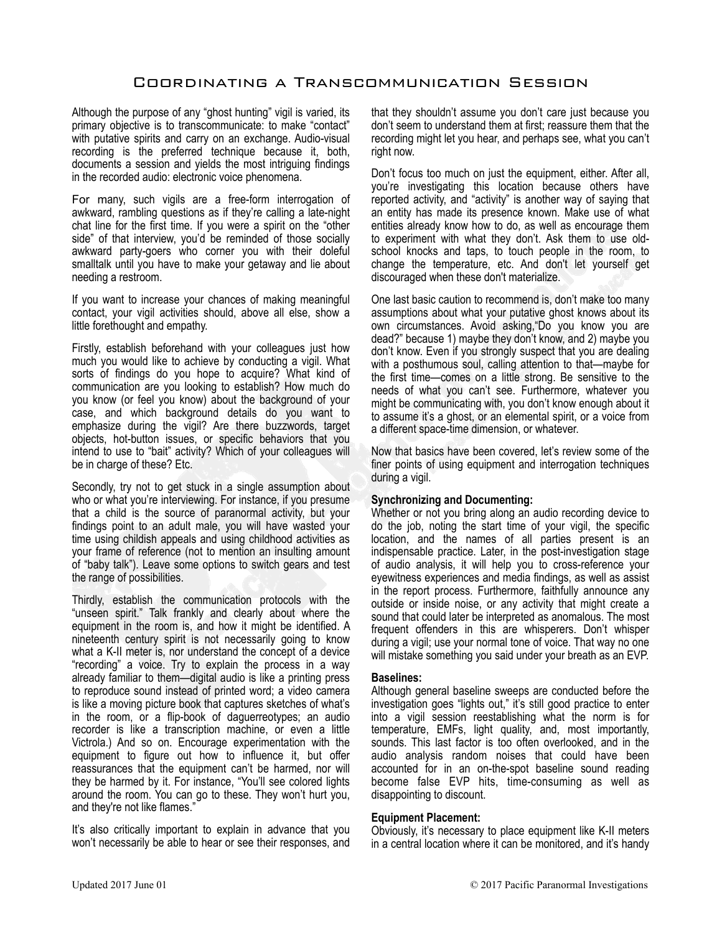# Coordinating a Transcommunication Session

Although the purpose of any "ghost hunting" vigil is varied, its primary objective is to transcommunicate: to make "contact" with putative spirits and carry on an exchange. Audio-visual recording is the preferred technique because it, both, documents a session and yields the most intriguing findings in the recorded audio: electronic voice phenomena.

For many, such vigils are a free-form interrogation of awkward, rambling questions as if they're calling a late-night chat line for the first time. If you were a spirit on the "other side" of that interview, you'd be reminded of those socially awkward party-goers who corner you with their doleful smalltalk until you have to make your getaway and lie about needing a restroom.

If you want to increase your chances of making meaningful contact, your vigil activities should, above all else, show a little forethought and empathy.

Firstly, establish beforehand with your colleagues just how much you would like to achieve by conducting a vigil. What sorts of findings do you hope to acquire? What kind of communication are you looking to establish? How much do you know (or feel you know) about the background of your case, and which background details do you want to emphasize during the vigil? Are there buzzwords, target objects, hot-button issues, or specific behaviors that you intend to use to "bait" activity? Which of your colleagues will be in charge of these? Etc.

Secondly, try not to get stuck in a single assumption about who or what you're interviewing. For instance, if you presume that a child is the source of paranormal activity, but your findings point to an adult male, you will have wasted your time using childish appeals and using childhood activities as your frame of reference (not to mention an insulting amount of "baby talk"). Leave some options to switch gears and test the range of possibilities.

Thirdly, establish the communication protocols with the "unseen spirit." Talk frankly and clearly about where the equipment in the room is, and how it might be identified. A nineteenth century spirit is not necessarily going to know what a K-II meter is, nor understand the concept of a device "recording" a voice. Try to explain the process in a way already familiar to them—digital audio is like a printing press to reproduce sound instead of printed word; a video camera is like a moving picture book that captures sketches of what's in the room, or a flip-book of daguerreotypes; an audio recorder is like a transcription machine, or even a little Victrola.) And so on. Encourage experimentation with the equipment to figure out how to influence it, but offer reassurances that the equipment can't be harmed, nor will they be harmed by it. For instance, "You'll see colored lights around the room. You can go to these. They won't hurt you, and they're not like flames."

It's also critically important to explain in advance that you won't necessarily be able to hear or see their responses, and that they shouldn't assume you don't care just because you don't seem to understand them at first; reassure them that the recording might let you hear, and perhaps see, what you can't right now.

Don't focus too much on just the equipment, either. After all, you're investigating this location because others have reported activity, and "activity" is another way of saying that an entity has made its presence known. Make use of what entities already know how to do, as well as encourage them to experiment with what they don't. Ask them to use oldschool knocks and taps, to touch people in the room, to change the temperature, etc. And don't let yourself get discouraged when these don't materialize.

One last basic caution to recommend is, don't make too many assumptions about what your putative ghost knows about its own circumstances. Avoid asking,"Do you know you are dead?" because 1) maybe they don't know, and 2) maybe you don't know. Even if you strongly suspect that you are dealing with a posthumous soul, calling attention to that—maybe for the first time—comes on a little strong. Be sensitive to the needs of what you can't see. Furthermore, whatever you might be communicating with, you don't know enough about it to assume it's a ghost, or an elemental spirit, or a voice from a different space-time dimension, or whatever.

Now that basics have been covered, let's review some of the finer points of using equipment and interrogation techniques during a vigil.

# **Synchronizing and Documenting:**

Whether or not you bring along an audio recording device to do the job, noting the start time of your vigil, the specific location, and the names of all parties present is an indispensable practice. Later, in the post-investigation stage of audio analysis, it will help you to cross-reference your eyewitness experiences and media findings, as well as assist in the report process. Furthermore, faithfully announce any outside or inside noise, or any activity that might create a sound that could later be interpreted as anomalous. The most frequent offenders in this are whisperers. Don't whisper during a vigil; use your normal tone of voice. That way no one will mistake something you said under your breath as an EVP.

#### **Baselines:**

Although general baseline sweeps are conducted before the investigation goes "lights out," it's still good practice to enter into a vigil session reestablishing what the norm is for temperature, EMFs, light quality, and, most importantly, sounds. This last factor is too often overlooked, and in the audio analysis random noises that could have been accounted for in an on-the-spot baseline sound reading become false EVP hits, time-consuming as well as disappointing to discount.

#### **Equipment Placement:**

Obviously, it's necessary to place equipment like K-II meters in a central location where it can be monitored, and it's handy